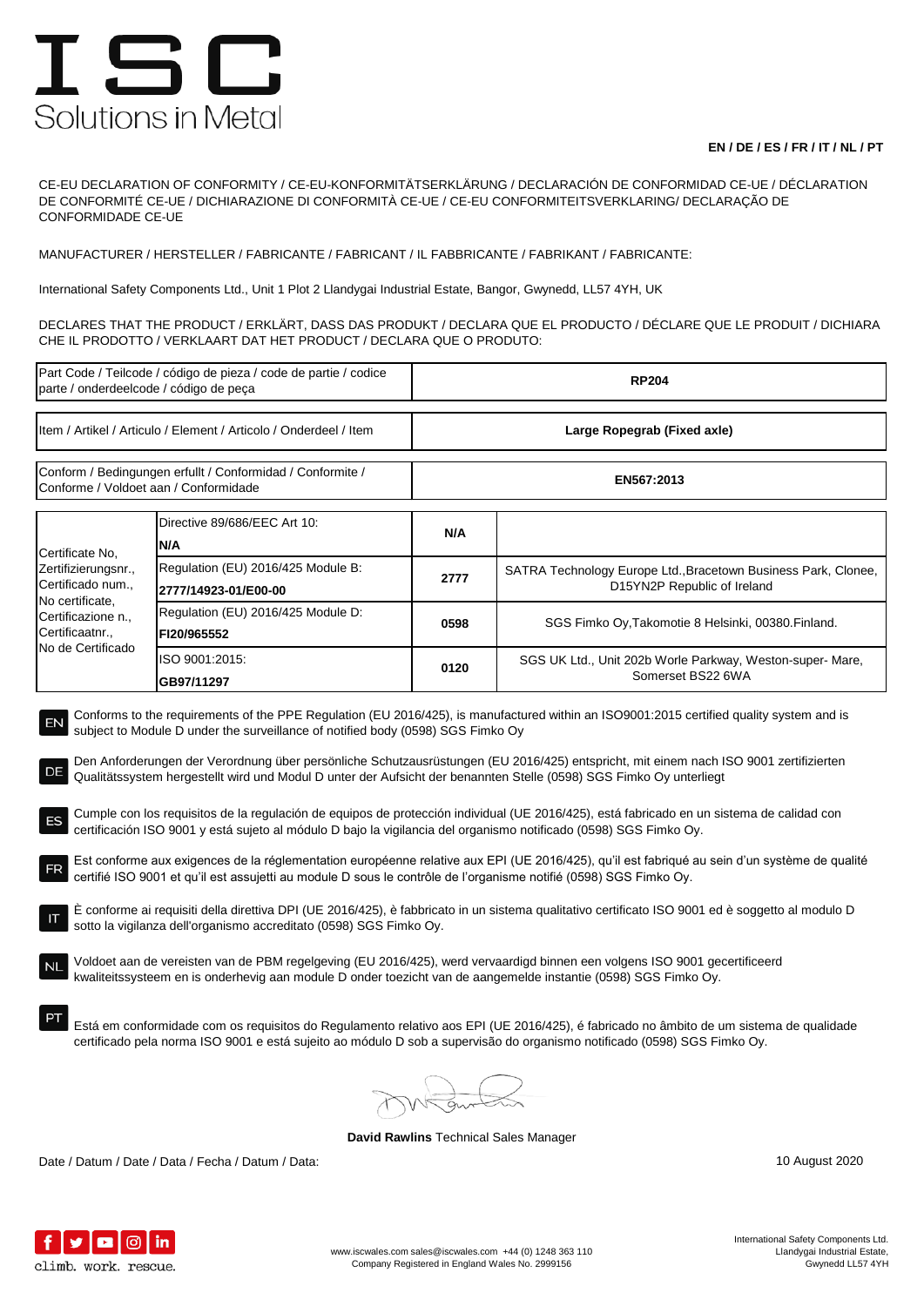## ISC Solutions in Metal

## **EN / DE / ES / FR / IT / NL / PT**

CE-EU DECLARATION OF CONFORMITY / CE-EU-KONFORMITÄTSERKLÄRUNG / DECLARACIÓN DE CONFORMIDAD CE-UE / DÉCLARATION DE CONFORMITÉ CE-UE / DICHIARAZIONE DI CONFORMITÀ CE-UE / CE-EU CONFORMITEITSVERKLARING/ DECLARAÇÃO DE CONFORMIDADE CE-UE

MANUFACTURER / HERSTELLER / FABRICANTE / FABRICANT / IL FABBRICANTE / FABRIKANT / FABRICANTE:

International Safety Components Ltd., Unit 1 Plot 2 Llandygai Industrial Estate, Bangor, Gwynedd, LL57 4YH, UK

DECLARES THAT THE PRODUCT / ERKLÄRT, DASS DAS PRODUKT / DECLARA QUE EL PRODUCTO / DÉCLARE QUE LE PRODUIT / DICHIARA CHE IL PRODOTTO / VERKLAART DAT HET PRODUCT / DECLARA QUE O PRODUTO:

| Part Code / Teilcode / código de pieza / code de partie / codice<br>parte / onderdeelcode / código de peça                                                                                                                                                                                                                                                                                                                                                                                                                                                                                                                                                                                                                                                                                                                                                                                                                                                                                                                                                                                                                                                                                                                                                                                                                                                                                                                                                                                                                                                                                                                                                                                                                                                                                             |                                                            | <b>RP204</b>                |                                                                                               |  |  |
|--------------------------------------------------------------------------------------------------------------------------------------------------------------------------------------------------------------------------------------------------------------------------------------------------------------------------------------------------------------------------------------------------------------------------------------------------------------------------------------------------------------------------------------------------------------------------------------------------------------------------------------------------------------------------------------------------------------------------------------------------------------------------------------------------------------------------------------------------------------------------------------------------------------------------------------------------------------------------------------------------------------------------------------------------------------------------------------------------------------------------------------------------------------------------------------------------------------------------------------------------------------------------------------------------------------------------------------------------------------------------------------------------------------------------------------------------------------------------------------------------------------------------------------------------------------------------------------------------------------------------------------------------------------------------------------------------------------------------------------------------------------------------------------------------------|------------------------------------------------------------|-----------------------------|-----------------------------------------------------------------------------------------------|--|--|
| Item / Artikel / Articulo / Element / Articolo / Onderdeel / Item                                                                                                                                                                                                                                                                                                                                                                                                                                                                                                                                                                                                                                                                                                                                                                                                                                                                                                                                                                                                                                                                                                                                                                                                                                                                                                                                                                                                                                                                                                                                                                                                                                                                                                                                      |                                                            | Large Ropegrab (Fixed axle) |                                                                                               |  |  |
| Conform / Bedingungen erfullt / Conformidad / Conformite /<br>Conforme / Voldoet aan / Conformidade                                                                                                                                                                                                                                                                                                                                                                                                                                                                                                                                                                                                                                                                                                                                                                                                                                                                                                                                                                                                                                                                                                                                                                                                                                                                                                                                                                                                                                                                                                                                                                                                                                                                                                    |                                                            | EN567:2013                  |                                                                                               |  |  |
| Certificate No,                                                                                                                                                                                                                                                                                                                                                                                                                                                                                                                                                                                                                                                                                                                                                                                                                                                                                                                                                                                                                                                                                                                                                                                                                                                                                                                                                                                                                                                                                                                                                                                                                                                                                                                                                                                        | Directive 89/686/EEC Art 10:<br>N/A                        | N/A                         |                                                                                               |  |  |
| Zertifizierungsnr.,<br>Certificado num.,<br>No certificate,                                                                                                                                                                                                                                                                                                                                                                                                                                                                                                                                                                                                                                                                                                                                                                                                                                                                                                                                                                                                                                                                                                                                                                                                                                                                                                                                                                                                                                                                                                                                                                                                                                                                                                                                            | Regulation (EU) 2016/425 Module B:<br>2777/14923-01/E00-00 | 2777                        | SATRA Technology Europe Ltd., Bracetown Business Park, Clonee,<br>D15YN2P Republic of Ireland |  |  |
| Certificazione n.,<br>Certificaatnr.,                                                                                                                                                                                                                                                                                                                                                                                                                                                                                                                                                                                                                                                                                                                                                                                                                                                                                                                                                                                                                                                                                                                                                                                                                                                                                                                                                                                                                                                                                                                                                                                                                                                                                                                                                                  | Regulation (EU) 2016/425 Module D:<br>FI20/965552          | 0598                        | SGS Fimko Oy, Takomotie 8 Helsinki, 00380 Finland.                                            |  |  |
| No de Certificado                                                                                                                                                                                                                                                                                                                                                                                                                                                                                                                                                                                                                                                                                                                                                                                                                                                                                                                                                                                                                                                                                                                                                                                                                                                                                                                                                                                                                                                                                                                                                                                                                                                                                                                                                                                      | ISO 9001:2015:<br>GB97/11297                               | 0120                        | SGS UK Ltd., Unit 202b Worle Parkway, Weston-super-Mare,<br>Somerset BS22 6WA                 |  |  |
| Conforms to the requirements of the PPE Regulation (EU 2016/425), is manufactured within an ISO9001:2015 certified quality system and is<br>EN<br>subject to Module D under the surveillance of notified body (0598) SGS Fimko Oy<br>Den Anforderungen der Verordnung über persönliche Schutzausrüstungen (EU 2016/425) entspricht, mit einem nach ISO 9001 zertifizierten<br>DE<br>Qualitätssystem hergestellt wird und Modul D unter der Aufsicht der benannten Stelle (0598) SGS Fimko Oy unterliegt<br>Cumple con los requisitos de la regulación de equipos de protección individual (UE 2016/425), está fabricado en un sistema de calidad con<br>certificación ISO 9001 y está sujeto al módulo D bajo la vigilancia del organismo notificado (0598) SGS Fimko Oy.<br>Est conforme aux exigences de la réglementation européenne relative aux EPI (UE 2016/425), qu'il est fabriqué au sein d'un système de qualité<br>certifié ISO 9001 et qu'il est assujetti au module D sous le contrôle de l'organisme notifié (0598) SGS Fimko Oy.<br>E conforme ai requisiti della direttiva DPI (UE 2016/425), è fabbricato in un sistema qualitativo certificato ISO 9001 ed è soggetto al modulo D<br>sotto la vigilanza dell'organismo accreditato (0598) SGS Fimko Oy.<br>Voldoet aan de vereisten van de PBM regelgeving (EU 2016/425), werd vervaardigd binnen een volgens ISO 9001 gecertificeerd<br>NL<br>kwaliteitssysteem en is onderhevig aan module D onder toezicht van de aangemelde instantie (0598) SGS Fimko Oy.<br>Está em conformidade com os requisitos do Regulamento relativo aos EPI (UE 2016/425), é fabricado no âmbito de um sistema de qualidade<br>certificado pela norma ISO 9001 e está sujeito ao módulo D sob a supervisão do organismo notificado (0598) SGS Fimko Oy. |                                                            |                             |                                                                                               |  |  |

**David Rawlins** Technical Sales Manager

Date / Datum / Date / Data / Fecha / Datum / Data: 10 August 2020